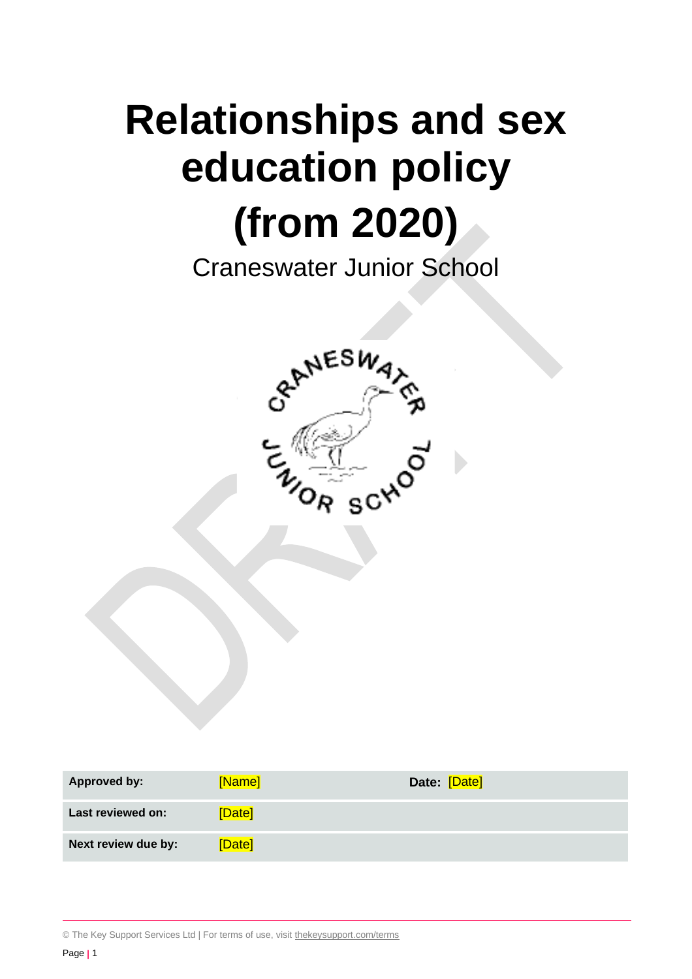# **Relationships and sex education policy (from 2020)**

Craneswater Junior School



| <b>Approved by:</b> | [Name] | Date: [Date] |
|---------------------|--------|--------------|
| Last reviewed on:   | [Date] |              |
| Next review due by: | [Date] |              |

© The Key Support Services Ltd | For terms of use, visit [thekeysupport.com/terms](https://thekeysupport.com/terms-of-use)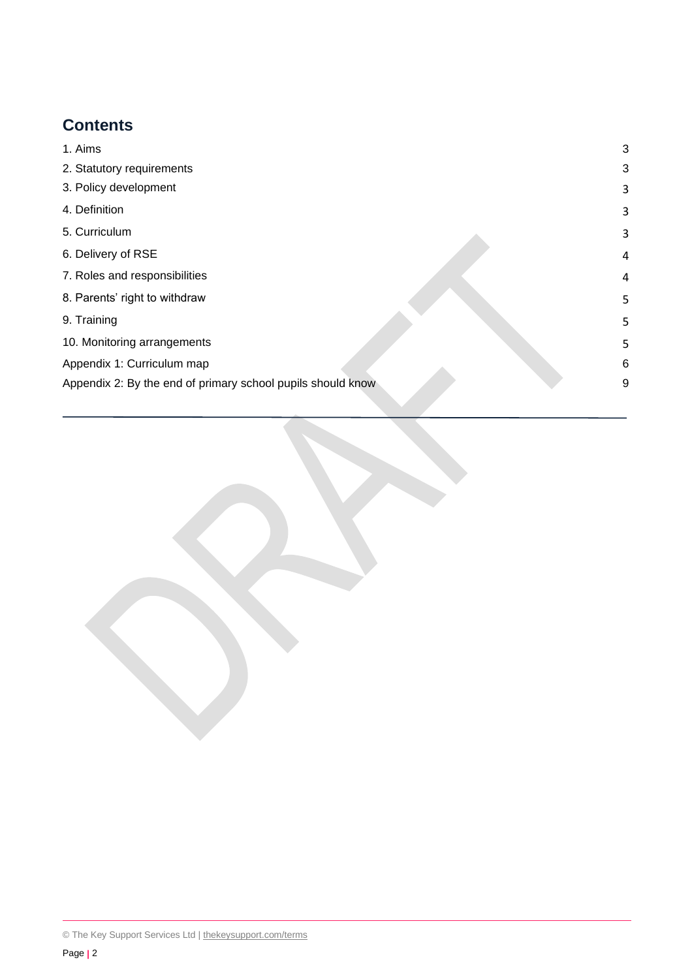# **Contents**

<span id="page-1-0"></span>

| 1. Aims                                                     | 3 |
|-------------------------------------------------------------|---|
| 2. Statutory requirements                                   | 3 |
| 3. Policy development                                       | 3 |
| 4. Definition                                               | 3 |
| 5. Curriculum                                               | 3 |
| 6. Delivery of RSE                                          | 4 |
| 7. Roles and responsibilities                               | 4 |
| 8. Parents' right to withdraw                               | 5 |
| 9. Training                                                 | 5 |
| 10. Monitoring arrangements                                 | 5 |
| Appendix 1: Curriculum map                                  | 6 |
| Appendix 2: By the end of primary school pupils should know | 9 |
|                                                             |   |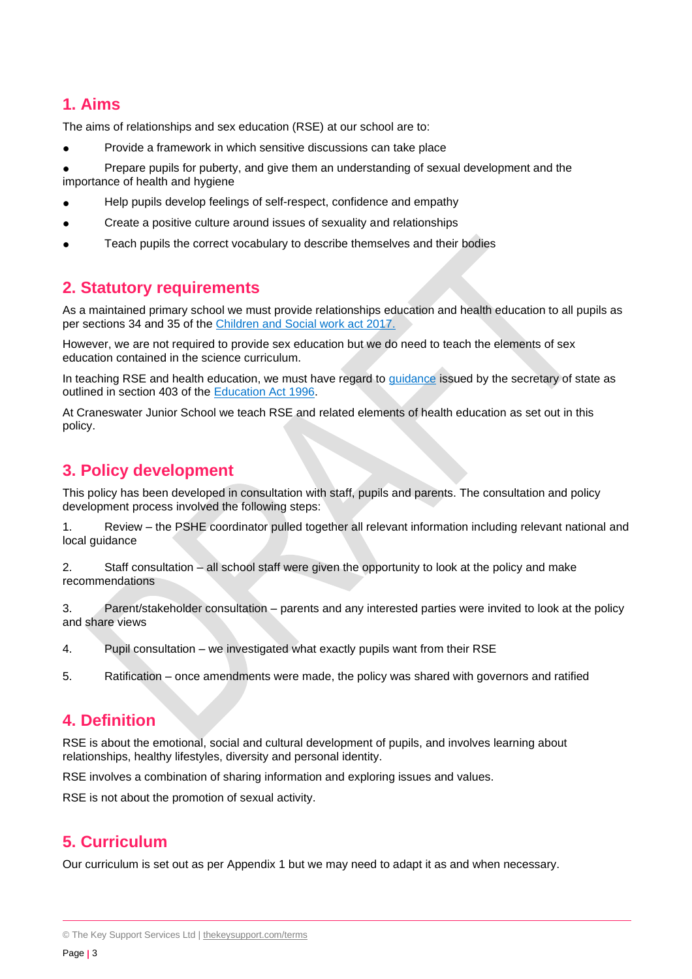# **1. Aims**

The aims of relationships and sex education (RSE) at our school are to:

- Provide a framework in which sensitive discussions can take place
- Prepare pupils for puberty, and give them an understanding of sexual development and the importance of health and hygiene
- Help pupils develop feelings of self-respect, confidence and empathy
- Create a positive culture around issues of sexuality and relationships
- Teach pupils the correct vocabulary to describe themselves and their bodies

## <span id="page-2-0"></span>**2. Statutory requirements**

As a maintained primary school we must provide relationships education and health education to all pupils as per sections 34 and 35 of the [Children and Social work act 2017.](http://www.legislation.gov.uk/ukpga/2017/16/section/34/enacted)

However, we are not required to provide sex education but we do need to teach the elements of sex education contained in the science curriculum.

In teaching RSE and health education, we must have regard to [guidance](https://assets.publishing.service.gov.uk/government/uploads/system/uploads/attachment_data/file/908013/Relationships_Education__Relationships_and_Sex_Education__RSE__and_Health_Education.pdf) issued by the secretary of state as outlined in section 403 of the [Education Act 1996.](http://www.legislation.gov.uk/ukpga/1996/56/contents)

At Craneswater Junior School we teach RSE and related elements of health education as set out in this policy.

# <span id="page-2-1"></span>**3. Policy development**

This policy has been developed in consultation with staff, pupils and parents. The consultation and policy development process involved the following steps:

1. Review – the PSHE coordinator pulled together all relevant information including relevant national and local guidance

2. Staff consultation – all school staff were given the opportunity to look at the policy and make recommendations

3. Parent/stakeholder consultation – parents and any interested parties were invited to look at the policy and share views

4. Pupil consultation – we investigated what exactly pupils want from their RSE

5. Ratification – once amendments were made, the policy was shared with governors and ratified

# **4. Definition**

RSE is about the emotional, social and cultural development of pupils, and involves learning about relationships, healthy lifestyles, diversity and personal identity.

RSE involves a combination of sharing information and exploring issues and values.

<span id="page-2-2"></span>RSE is not about the promotion of sexual activity.

# **5. Curriculum**

Our curriculum is set out as per Appendix 1 but we may need to adapt it as and when necessary.

<sup>©</sup> The Key Support Services Ltd | [thekeysupport.com/terms](https://thekeysupport.com/terms-of-use)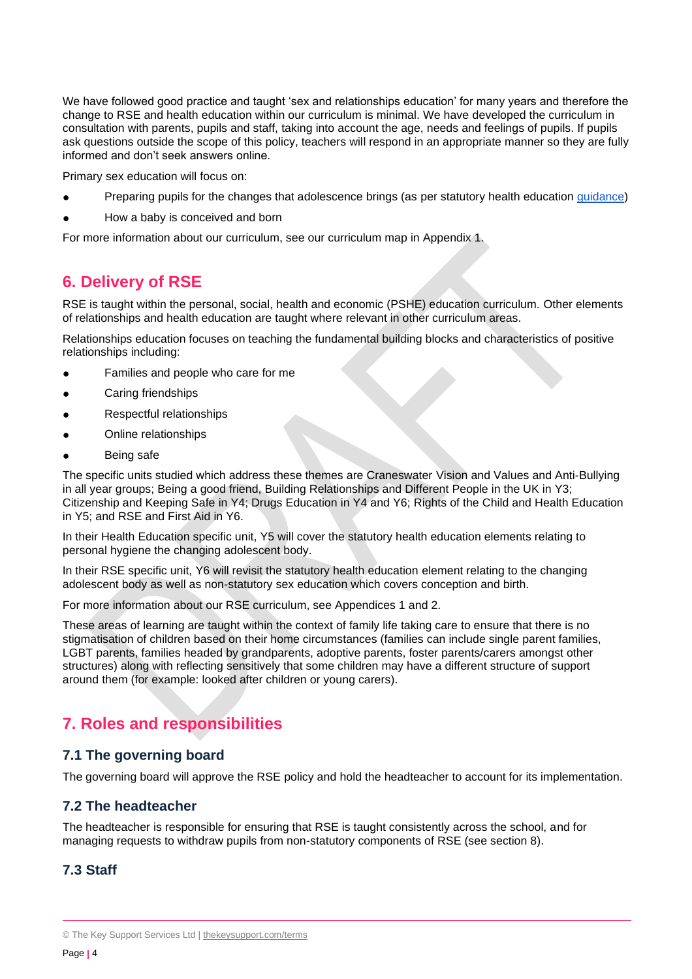We have followed good practice and taught 'sex and relationships education' for many years and therefore the change to RSE and health education within our curriculum is minimal. We have developed the curriculum in consultation with parents, pupils and staff, taking into account the age, needs and feelings of pupils. If pupils ask questions outside the scope of this policy, teachers will respond in an appropriate manner so they are fully informed and don't seek answers online.

Primary sex education will focus on:

- Preparing pupils for the changes that adolescence brings (as per statutory health education [guidance\)](https://assets.publishing.service.gov.uk/government/uploads/system/uploads/attachment_data/file/908013/Relationships_Education__Relationships_and_Sex_Education__RSE__and_Health_Education.pdf)
- How a baby is conceived and born

For more information about our curriculum, see our curriculum map in Appendix 1.

# <span id="page-3-0"></span>**6. Delivery of RSE**

RSE is taught within the personal, social, health and economic (PSHE) education curriculum. Other elements of relationships and health education are taught where relevant in other curriculum areas.

Relationships education focuses on teaching the fundamental building blocks and characteristics of positive relationships including:

- Families and people who care for me
- Caring friendships
- Respectful relationships
- Online relationships
- Being safe

The specific units studied which address these themes are Craneswater Vision and Values and Anti-Bullying in all year groups; Being a good friend, Building Relationships and Different People in the UK in Y3; Citizenship and Keeping Safe in Y4; Drugs Education in Y4 and Y6; Rights of the Child and Health Education in Y5; and RSE and First Aid in Y6.

In their Health Education specific unit, Y5 will cover the statutory health education elements relating to personal hygiene the changing adolescent body.

In their RSE specific unit, Y6 will revisit the statutory health education element relating to the changing adolescent body as well as non-statutory sex education which covers conception and birth.

For more information about our RSE curriculum, see Appendices 1 and 2.

These areas of learning are taught within the context of family life taking care to ensure that there is no stigmatisation of children based on their home circumstances (families can include single parent families, LGBT parents, families headed by grandparents, adoptive parents, foster parents/carers amongst other structures) along with reflecting sensitively that some children may have a different structure of support around them (for example: looked after children or young carers).

# <span id="page-3-1"></span>**7. Roles and responsibilities**

#### **7.1 The governing board**

The governing board will approve the RSE policy and hold the headteacher to account for its implementation.

#### **7.2 The headteacher**

The headteacher is responsible for ensuring that RSE is taught consistently across the school, and for managing requests to withdraw pupils from non-statutory components of RSE (see section 8).

#### **7.3 Staff**

<sup>©</sup> The Key Support Services Ltd | [thekeysupport.com/terms](https://thekeysupport.com/terms-of-use)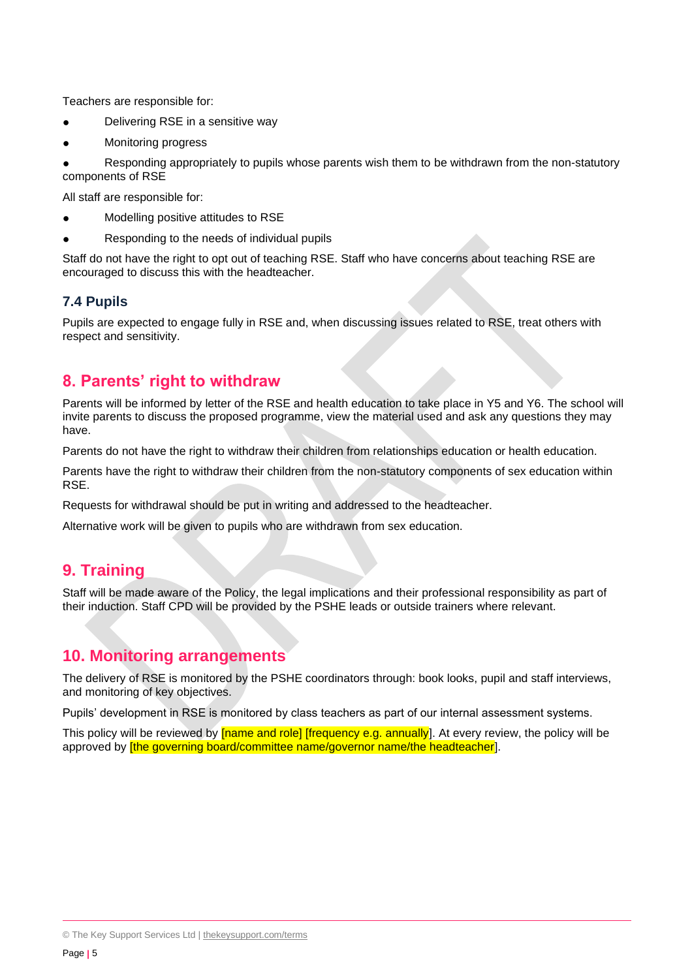Teachers are responsible for:

- Delivering RSE in a sensitive way
- **Monitoring progress**

Responding appropriately to pupils whose parents wish them to be withdrawn from the non-statutory components of RSE

All staff are responsible for:

- Modelling positive attitudes to RSE
- Responding to the needs of individual pupils

Staff do not have the right to opt out of teaching RSE. Staff who have concerns about teaching RSE are encouraged to discuss this with the headteacher.

#### **7.4 Pupils**

Pupils are expected to engage fully in RSE and, when discussing issues related to RSE, treat others with respect and sensitivity.

## <span id="page-4-0"></span>**8. Parents' right to withdraw**

Parents will be informed by letter of the RSE and health education to take place in Y5 and Y6. The school will invite parents to discuss the proposed programme, view the material used and ask any questions they may have.

Parents do not have the right to withdraw their children from relationships education or health education.

Parents have the right to withdraw their children from the non-statutory components of sex education within RSE.

Requests for withdrawal should be put in writing and addressed to the headteacher.

<span id="page-4-1"></span>Alternative work will be given to pupils who are withdrawn from sex education.

# **9. Training**

Staff will be made aware of the Policy, the legal implications and their professional responsibility as part of their induction. Staff CPD will be provided by the PSHE leads or outside trainers where relevant.

# <span id="page-4-2"></span>**10. Monitoring arrangements**

The delivery of RSE is monitored by the PSHE coordinators through: book looks, pupil and staff interviews, and monitoring of key objectives.

Pupils' development in RSE is monitored by class teachers as part of our internal assessment systems.

This policy will be reviewed by **[name and role] [frequency e.g. annually**]. At every review, the policy will be approved by [the governing board/committee name/governor name/the headteacher].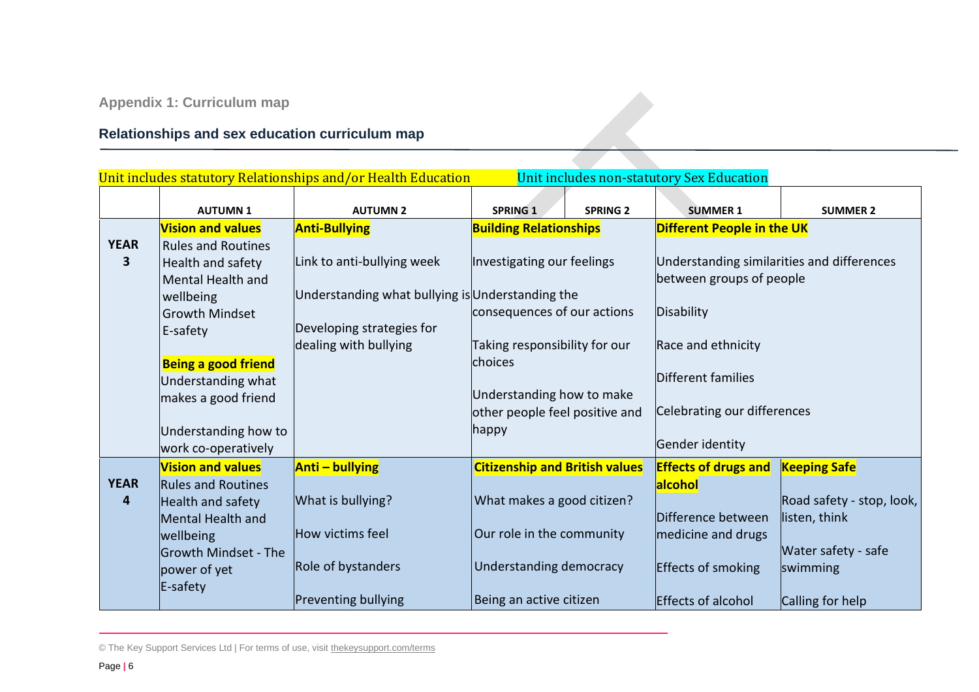**Appendix 1: Curriculum map**

# **Relationships and sex education curriculum map**

<span id="page-5-0"></span>

| Unit includes statutory Relationships and/or Health Education<br>Unit includes non-statutory Sex Education |                            |                                                  |                                       |                 |                                            |                           |
|------------------------------------------------------------------------------------------------------------|----------------------------|--------------------------------------------------|---------------------------------------|-----------------|--------------------------------------------|---------------------------|
|                                                                                                            | <b>AUTUMN1</b>             | <b>AUTUMN 2</b>                                  | <b>SPRING 1</b>                       | <b>SPRING 2</b> | <b>SUMMER 1</b>                            | <b>SUMMER 2</b>           |
|                                                                                                            | <b>Vision and values</b>   | <b>Anti-Bullying</b>                             | <b>Building Relationships</b>         |                 | Different People in the UK                 |                           |
| <b>YEAR</b>                                                                                                | <b>Rules and Routines</b>  |                                                  |                                       |                 |                                            |                           |
| 3                                                                                                          | Health and safety          | Link to anti-bullying week                       | Investigating our feelings            |                 | Understanding similarities and differences |                           |
|                                                                                                            | Mental Health and          |                                                  |                                       |                 | between groups of people                   |                           |
|                                                                                                            | wellbeing                  | Understanding what bullying is Understanding the |                                       |                 |                                            |                           |
|                                                                                                            | <b>Growth Mindset</b>      |                                                  | consequences of our actions           |                 | Disability                                 |                           |
|                                                                                                            | E-safety                   | Developing strategies for                        |                                       |                 |                                            |                           |
|                                                                                                            |                            | dealing with bullying                            | Taking responsibility for our         |                 | Race and ethnicity                         |                           |
|                                                                                                            | <b>Being a good friend</b> |                                                  | choices                               |                 |                                            |                           |
|                                                                                                            | Understanding what         |                                                  |                                       |                 | Different families                         |                           |
|                                                                                                            | makes a good friend        |                                                  | Understanding how to make             |                 |                                            |                           |
|                                                                                                            |                            |                                                  | other people feel positive and        |                 | Celebrating our differences                |                           |
|                                                                                                            | Understanding how to       |                                                  | happy                                 |                 |                                            |                           |
|                                                                                                            | work co-operatively        |                                                  |                                       |                 | Gender identity                            |                           |
|                                                                                                            | <b>Vision and values</b>   | <b>Anti - bullying</b>                           | <b>Citizenship and British values</b> |                 | <b>Effects of drugs and</b>                | <b>Keeping Safe</b>       |
| <b>YEAR</b>                                                                                                | <b>Rules and Routines</b>  |                                                  |                                       |                 | alcohol                                    |                           |
| 4                                                                                                          | Health and safety          | What is bullying?                                | What makes a good citizen?            |                 |                                            | Road safety - stop, look, |
|                                                                                                            | <b>Mental Health and</b>   |                                                  |                                       |                 | Difference between                         | listen, think             |
|                                                                                                            | wellbeing                  | How victims feel                                 | Our role in the community             |                 | medicine and drugs                         |                           |
|                                                                                                            | Growth Mindset - The       |                                                  |                                       |                 |                                            | Water safety - safe       |
|                                                                                                            | power of yet               | Role of bystanders                               | Understanding democracy               |                 | Effects of smoking                         | swimming                  |
|                                                                                                            | E-safety                   |                                                  |                                       |                 |                                            |                           |
|                                                                                                            |                            | <b>Preventing bullying</b>                       | Being an active citizen               |                 | <b>Effects of alcohol</b>                  | Calling for help          |

© The Key Support Services Ltd | For terms of use, visit [thekeysupport.com/terms](https://thekeysupport.com/terms-of-use)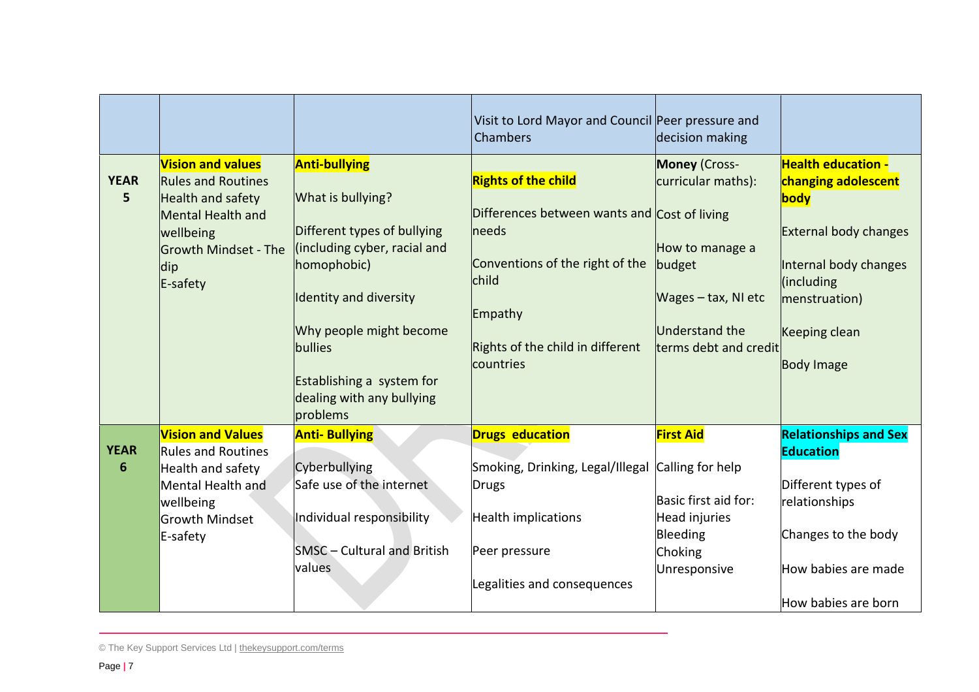|                  |                                                                                                                                                          |                                                                                                                                                                                                                                                                      | Visit to Lord Mayor and Council Peer pressure and<br>Chambers                                                                                                                               | decision making                                                                                                                             |                                                                                                                                                                                        |
|------------------|----------------------------------------------------------------------------------------------------------------------------------------------------------|----------------------------------------------------------------------------------------------------------------------------------------------------------------------------------------------------------------------------------------------------------------------|---------------------------------------------------------------------------------------------------------------------------------------------------------------------------------------------|---------------------------------------------------------------------------------------------------------------------------------------------|----------------------------------------------------------------------------------------------------------------------------------------------------------------------------------------|
| <b>YEAR</b><br>5 | <b>Vision and values</b><br><b>Rules and Routines</b><br>Health and safety<br>Mental Health and<br>wellbeing<br>Growth Mindset - The<br>dip<br>E-safety  | <b>Anti-bullying</b><br>What is bullying?<br>Different types of bullying<br>(including cyber, racial and<br>homophobic)<br>Identity and diversity<br>Why people might become<br><b>bullies</b><br>Establishing a system for<br>dealing with any bullying<br>problems | <b>Rights of the child</b><br>Differences between wants and Cost of living<br>needs<br>Conventions of the right of the<br>child<br>Empathy<br>Rights of the child in different<br>countries | <b>Money (Cross-</b><br>curricular maths):<br>How to manage a<br>budget<br>Wages $-$ tax, NI etc<br>Understand the<br>terms debt and credit | <b>Health education -</b><br>changing adolescent<br>body<br><b>External body changes</b><br>Internal body changes<br>(including<br>menstruation)<br>Keeping clean<br><b>Body Image</b> |
| <b>YEAR</b><br>6 | <b>Vision and Values</b><br><b>Rules and Routines</b><br>Health and safety<br><b>Mental Health and</b><br>wellbeing<br><b>Growth Mindset</b><br>E-safety | <b>Anti-Bullying</b><br>Cyberbullying<br>Safe use of the internet<br>Individual responsibility<br>SMSC - Cultural and British<br>values                                                                                                                              | <b>Drugs education</b><br>Smoking, Drinking, Legal/Illegal Calling for help<br>Drugs<br>Health implications<br>Peer pressure<br>Legalities and consequences                                 | <b>First Aid</b><br>Basic first aid for:<br>Head injuries<br>Bleeding<br>Choking<br>Unresponsive                                            | <b>Relationships and Sex</b><br>Education<br>Different types of<br>relationships<br>Changes to the body<br>How babies are made<br>How babies are born                                  |

© The Key Support Services Ltd | [thekeysupport.com/terms](https://thekeysupport.com/terms-of-use)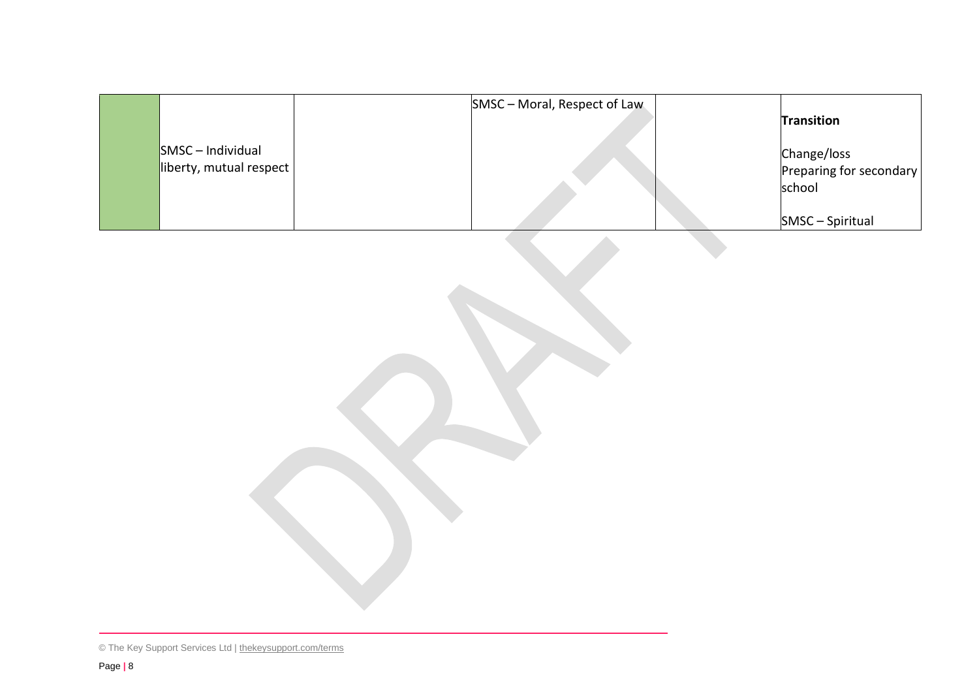|                         | SMSC - Moral, Respect of Law |                         |
|-------------------------|------------------------------|-------------------------|
|                         |                              | Transition              |
| $ SMSC - Individual $   |                              | Change/loss             |
| liberty, mutual respect |                              | Preparing for secondary |
|                         |                              | school                  |
|                         |                              | SMSC - Spiritual        |

<sup>©</sup> The Key Support Services Ltd | [thekeysupport.com/terms](https://thekeysupport.com/terms-of-use)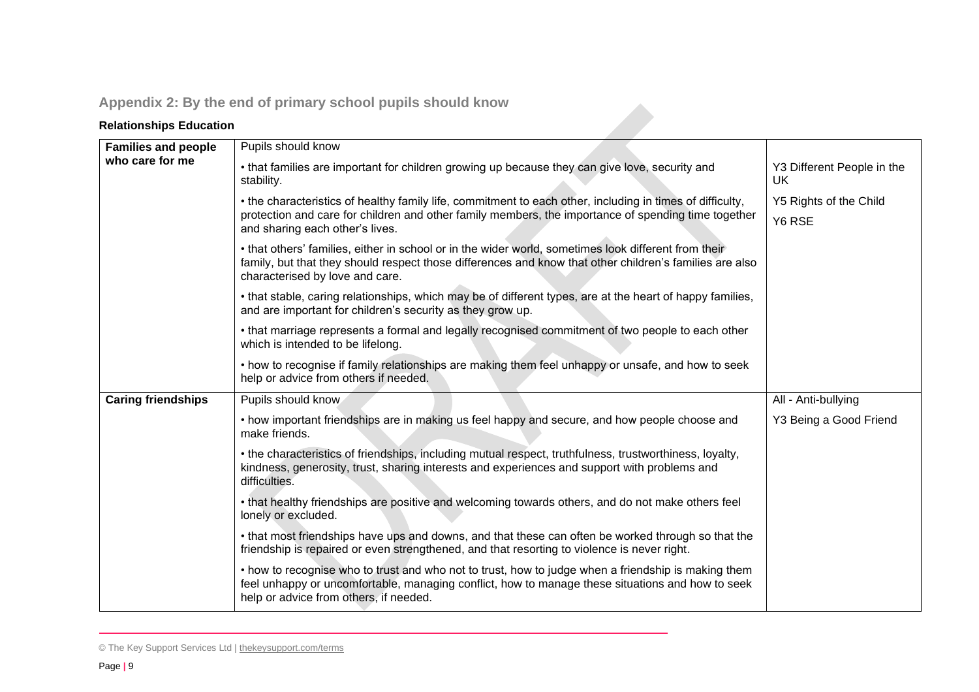# **Appendix 2: By the end of primary school pupils should know**

#### <span id="page-8-0"></span>**Relationships Education**

|                                               | Appendix 2: By the end of primary school pupils should know                                                                                                                                                                                         |                                  |
|-----------------------------------------------|-----------------------------------------------------------------------------------------------------------------------------------------------------------------------------------------------------------------------------------------------------|----------------------------------|
| <b>Relationships Education</b>                |                                                                                                                                                                                                                                                     |                                  |
| <b>Families and people</b><br>who care for me | Pupils should know                                                                                                                                                                                                                                  |                                  |
|                                               | • that families are important for children growing up because they can give love, security and<br>stability.                                                                                                                                        | Y3 Different People in the<br>UK |
|                                               | • the characteristics of healthy family life, commitment to each other, including in times of difficulty,<br>protection and care for children and other family members, the importance of spending time together<br>and sharing each other's lives. | Y5 Rights of the Child<br>Y6 RSE |
|                                               | • that others' families, either in school or in the wider world, sometimes look different from their<br>family, but that they should respect those differences and know that other children's families are also<br>characterised by love and care.  |                                  |
|                                               | • that stable, caring relationships, which may be of different types, are at the heart of happy families,<br>and are important for children's security as they grow up.                                                                             |                                  |
|                                               | • that marriage represents a formal and legally recognised commitment of two people to each other<br>which is intended to be lifelong.                                                                                                              |                                  |
|                                               | • how to recognise if family relationships are making them feel unhappy or unsafe, and how to seek<br>help or advice from others if needed.                                                                                                         |                                  |
| <b>Caring friendships</b>                     | Pupils should know                                                                                                                                                                                                                                  | All - Anti-bullying              |
|                                               | • how important friendships are in making us feel happy and secure, and how people choose and<br>make friends.                                                                                                                                      | Y3 Being a Good Friend           |
|                                               | • the characteristics of friendships, including mutual respect, truthfulness, trustworthiness, loyalty,<br>kindness, generosity, trust, sharing interests and experiences and support with problems and<br>difficulties.                            |                                  |
|                                               | • that healthy friendships are positive and welcoming towards others, and do not make others feel<br>lonely or excluded.                                                                                                                            |                                  |
|                                               | • that most friendships have ups and downs, and that these can often be worked through so that the<br>friendship is repaired or even strengthened, and that resorting to violence is never right.                                                   |                                  |
|                                               | • how to recognise who to trust and who not to trust, how to judge when a friendship is making them<br>feel unhappy or uncomfortable, managing conflict, how to manage these situations and how to seek<br>help or advice from others, if needed.   |                                  |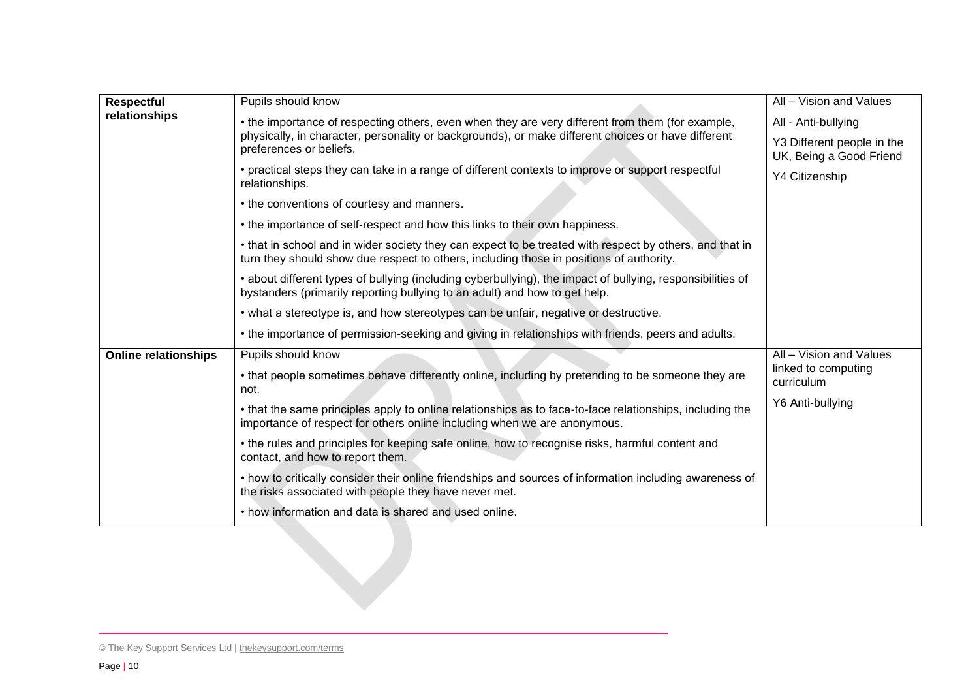| <b>Respectful</b>           | Pupils should know                                                                                                                                                                                 | All - Vision and Values                               |
|-----------------------------|----------------------------------------------------------------------------------------------------------------------------------------------------------------------------------------------------|-------------------------------------------------------|
| relationships               | • the importance of respecting others, even when they are very different from them (for example,                                                                                                   | All - Anti-bullying                                   |
|                             | physically, in character, personality or backgrounds), or make different choices or have different<br>preferences or beliefs.                                                                      | Y3 Different people in the<br>UK, Being a Good Friend |
|                             | • practical steps they can take in a range of different contexts to improve or support respectful<br>relationships.                                                                                | Y4 Citizenship                                        |
|                             | • the conventions of courtesy and manners.                                                                                                                                                         |                                                       |
|                             | • the importance of self-respect and how this links to their own happiness.                                                                                                                        |                                                       |
|                             | • that in school and in wider society they can expect to be treated with respect by others, and that in<br>turn they should show due respect to others, including those in positions of authority. |                                                       |
|                             | • about different types of bullying (including cyberbullying), the impact of bullying, responsibilities of<br>bystanders (primarily reporting bullying to an adult) and how to get help.           |                                                       |
|                             | • what a stereotype is, and how stereotypes can be unfair, negative or destructive.                                                                                                                |                                                       |
|                             | • the importance of permission-seeking and giving in relationships with friends, peers and adults.                                                                                                 |                                                       |
| <b>Online relationships</b> | Pupils should know                                                                                                                                                                                 | All - Vision and Values                               |
|                             | • that people sometimes behave differently online, including by pretending to be someone they are<br>not.                                                                                          | linked to computing<br>curriculum                     |
|                             | • that the same principles apply to online relationships as to face-to-face relationships, including the<br>importance of respect for others online including when we are anonymous.               | Y6 Anti-bullying                                      |
|                             | • the rules and principles for keeping safe online, how to recognise risks, harmful content and<br>contact, and how to report them.                                                                |                                                       |
|                             | • how to critically consider their online friendships and sources of information including awareness of<br>the risks associated with people they have never met.                                   |                                                       |
|                             | • how information and data is shared and used online.                                                                                                                                              |                                                       |

<sup>©</sup> The Key Support Services Ltd | [thekeysupport.com/terms](https://thekeysupport.com/terms-of-use)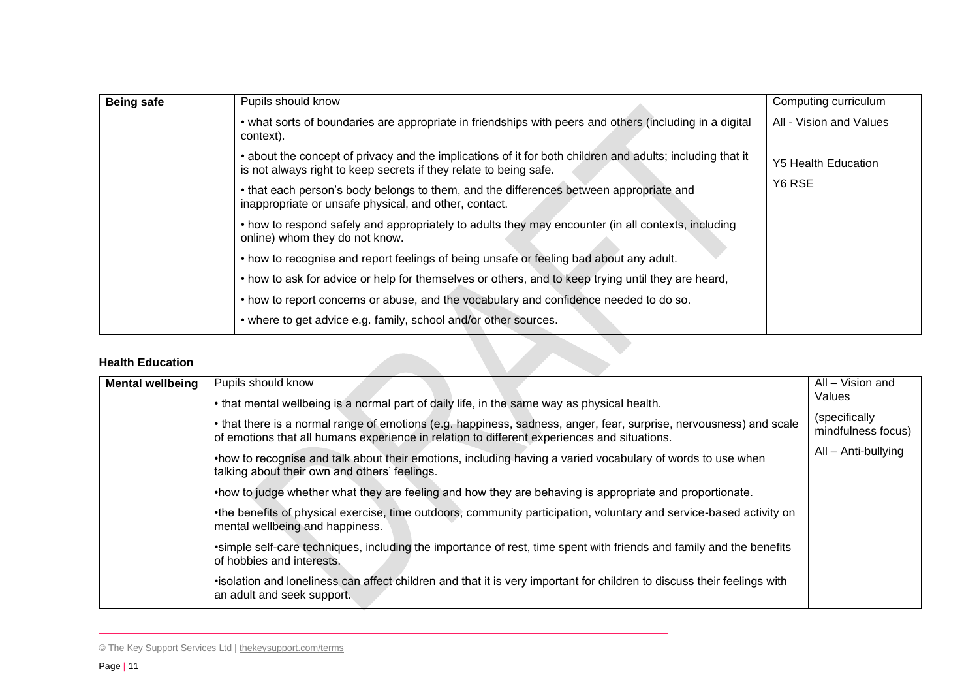| <b>Being safe</b>       | Pupils should know                                                                                                                                                             | Computing curriculum       |
|-------------------------|--------------------------------------------------------------------------------------------------------------------------------------------------------------------------------|----------------------------|
|                         | • what sorts of boundaries are appropriate in friendships with peers and others (including in a digital<br>context).                                                           | All - Vision and Values    |
|                         | • about the concept of privacy and the implications of it for both children and adults; including that it<br>is not always right to keep secrets if they relate to being safe. | <b>Y5 Health Education</b> |
|                         | • that each person's body belongs to them, and the differences between appropriate and<br>inappropriate or unsafe physical, and other, contact.                                | Y6 RSE                     |
|                         | • how to respond safely and appropriately to adults they may encounter (in all contexts, including<br>online) whom they do not know.                                           |                            |
|                         | • how to recognise and report feelings of being unsafe or feeling bad about any adult.                                                                                         |                            |
|                         | • how to ask for advice or help for themselves or others, and to keep trying until they are heard,                                                                             |                            |
|                         | • how to report concerns or abuse, and the vocabulary and confidence needed to do so.                                                                                          |                            |
|                         | • where to get advice e.g. family, school and/or other sources.                                                                                                                |                            |
|                         |                                                                                                                                                                                |                            |
| <b>Health Education</b> |                                                                                                                                                                                |                            |

#### **Health Education**

| <b>Mental wellbeing</b> | Pupils should know                                                                                                                                                                                                | All - Vision and                    |
|-------------------------|-------------------------------------------------------------------------------------------------------------------------------------------------------------------------------------------------------------------|-------------------------------------|
|                         | • that mental wellbeing is a normal part of daily life, in the same way as physical health.                                                                                                                       | Values                              |
|                         | • that there is a normal range of emotions (e.g. happiness, sadness, anger, fear, surprise, nervousness) and scale<br>of emotions that all humans experience in relation to different experiences and situations. | (specifically<br>mindfulness focus) |
|                         | •how to recognise and talk about their emotions, including having a varied vocabulary of words to use when<br>talking about their own and others' feelings.                                                       | All – Anti-bullying                 |
|                         | •how to judge whether what they are feeling and how they are behaving is appropriate and proportionate.                                                                                                           |                                     |
|                         | •the benefits of physical exercise, time outdoors, community participation, voluntary and service-based activity on<br>mental wellbeing and happiness.                                                            |                                     |
|                         | •simple self-care techniques, including the importance of rest, time spent with friends and family and the benefits<br>of hobbies and interests.                                                                  |                                     |
|                         | •isolation and loneliness can affect children and that it is very important for children to discuss their feelings with<br>an adult and seek support.                                                             |                                     |

<sup>©</sup> The Key Support Services Ltd | [thekeysupport.com/terms](https://thekeysupport.com/terms-of-use)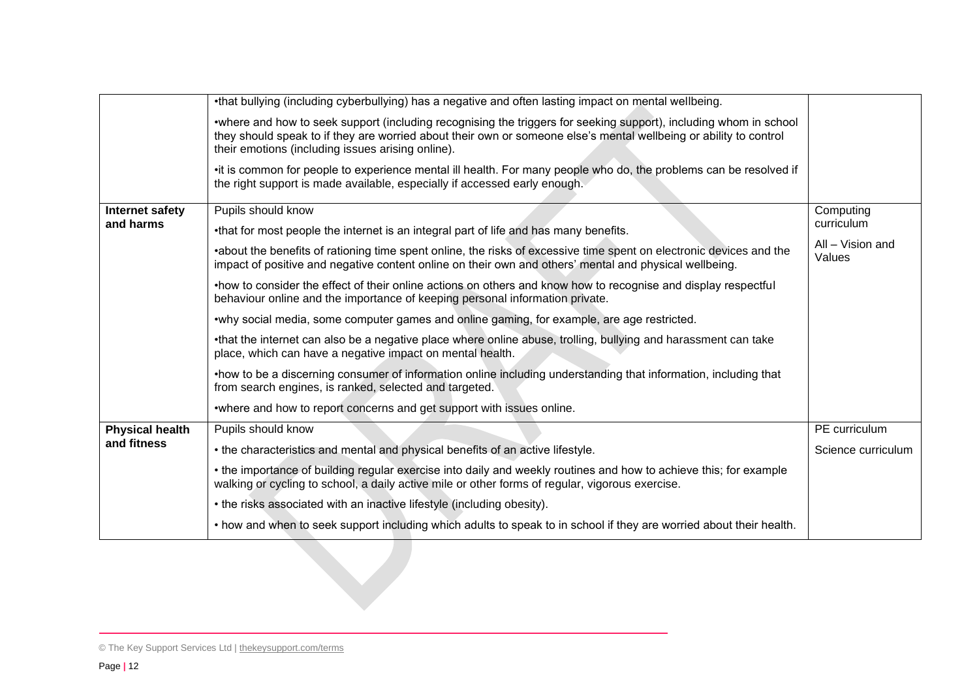|                        | •that bullying (including cyberbullying) has a negative and often lasting impact on mental wellbeing.                                                                                                                                                                                       |                            |
|------------------------|---------------------------------------------------------------------------------------------------------------------------------------------------------------------------------------------------------------------------------------------------------------------------------------------|----------------------------|
|                        | •where and how to seek support (including recognising the triggers for seeking support), including whom in school<br>they should speak to if they are worried about their own or someone else's mental wellbeing or ability to control<br>their emotions (including issues arising online). |                            |
|                        | •it is common for people to experience mental ill health. For many people who do, the problems can be resolved if<br>the right support is made available, especially if accessed early enough.                                                                                              |                            |
| Internet safety        | Pupils should know                                                                                                                                                                                                                                                                          | Computing                  |
| and harms              | •that for most people the internet is an integral part of life and has many benefits.                                                                                                                                                                                                       | curriculum                 |
|                        | •about the benefits of rationing time spent online, the risks of excessive time spent on electronic devices and the<br>impact of positive and negative content online on their own and others' mental and physical wellbeing.                                                               | All - Vision and<br>Values |
|                        | •how to consider the effect of their online actions on others and know how to recognise and display respectful<br>behaviour online and the importance of keeping personal information private.                                                                                              |                            |
|                        | •why social media, some computer games and online gaming, for example, are age restricted.                                                                                                                                                                                                  |                            |
|                        | •that the internet can also be a negative place where online abuse, trolling, bullying and harassment can take<br>place, which can have a negative impact on mental health.                                                                                                                 |                            |
|                        | •how to be a discerning consumer of information online including understanding that information, including that<br>from search engines, is ranked, selected and targeted.                                                                                                                   |                            |
|                        | •where and how to report concerns and get support with issues online.                                                                                                                                                                                                                       |                            |
| <b>Physical health</b> | Pupils should know                                                                                                                                                                                                                                                                          | PE curriculum              |
| and fitness            | • the characteristics and mental and physical benefits of an active lifestyle.                                                                                                                                                                                                              | Science curriculum         |
|                        | • the importance of building regular exercise into daily and weekly routines and how to achieve this; for example<br>walking or cycling to school, a daily active mile or other forms of regular, vigorous exercise.                                                                        |                            |
|                        | • the risks associated with an inactive lifestyle (including obesity).                                                                                                                                                                                                                      |                            |
|                        | • how and when to seek support including which adults to speak to in school if they are worried about their health.                                                                                                                                                                         |                            |

<sup>©</sup> The Key Support Services Ltd | [thekeysupport.com/terms](https://thekeysupport.com/terms-of-use)